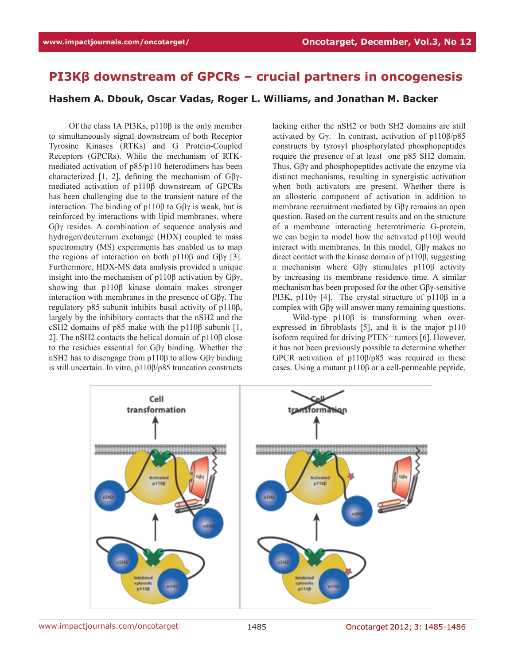## **PI3Kβ downstream of GPCRs – crucial partners in oncogenesis**

## **Hashem A. Dbouk, Oscar Vadas, Roger L. Williams, and Jonathan M. Backer**

Of the class IA PI3Ks, p110β is the only member to simultaneously signal downstream of both Receptor Tyrosine Kinases (RTKs) and G Protein-Coupled Receptors (GPCRs). While the mechanism of RTKmediated activation of p85/p110 heterodimers has been characterized [1, 2], defining the mechanism of Gβγmediated activation of p110β downstream of GPCRs has been challenging due to the transient nature of the interaction. The binding of p110β to Gβγ is weak, but is reinforced by interactions with lipid membranes, where Gβγ resides. A combination of sequence analysis and hydrogen/deuterium exchange (HDX) coupled to mass spectrometry (MS) experiments has enabled us to map the regions of interaction on both p110β and Gβγ [3]. Furthermore, HDX-MS data analysis provided a unique insight into the mechanism of p110β activation by Gβγ, showing that p110β kinase domain makes stronger interaction with membranes in the presence of Gβγ. The regulatory p85 subunit inhibits basal activity of p110β, largely by the inhibitory contacts that the nSH2 and the cSH2 domains of p85 make with the p110β subunit [1, 2]. The nSH2 contacts the helical domain of p110β close to the residues essential for Gβγ binding. Whether the nSH2 has to disengage from p110β to allow Gβγ binding is still uncertain. In vitro, p110β/p85 truncation constructs

lacking either the nSH2 or both SH2 domains are still activated by Gγ. In contrast, activation of p110β/p85 constructs by tyrosyl phosphorylated phosphopeptides require the presence of at least one p85 SH2 domain. Thus, Gβγ and phosphopeptides activate the enzyme via distinct mechanisms, resulting in synergistic activation when both activators are present. Whether there is an allosteric component of activation in addition to membrane recruitment mediated by Gβγ remains an open question. Based on the current results and on the structure of a membrane interacting heterotrimeric G-protein, we can begin to model how the activated p110β would interact with membranes. In this model, Gβγ makes no direct contact with the kinase domain of p110β, suggesting a mechanism where Gβγ stimulates p110β activity by increasing its membrane residence time. A similar mechanism has been proposed for the other Gβγ-sensitive PI3K, p110γ [4]. The crystal structure of p110β in a complex with Gβγ will answer many remaining questions.

Wild-type p110β is transforming when overexpressed in fibroblasts [5], and it is the major p110 isoform required for driving PTEN $\cdot$  tumors [6]. However, it has not been previously possible to determine whether GPCR activation of p110β/p85 was required in these cases. Using a mutant p110β or a cell-permeable peptide,